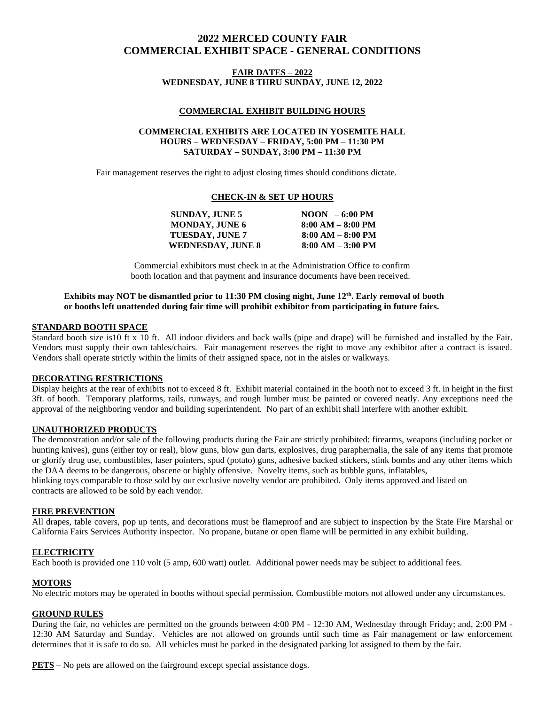# **2022 MERCED COUNTY FAIR COMMERCIAL EXHIBIT SPACE - GENERAL CONDITIONS**

### **FAIR DATES – 2022 WEDNESDAY, JUNE 8 THRU SUNDAY, JUNE 12, 2022**

### **COMMERCIAL EXHIBIT BUILDING HOURS**

### **COMMERCIAL EXHIBITS ARE LOCATED IN YOSEMITE HALL HOURS – WEDNESDAY – FRIDAY, 5:00 PM – 11:30 PM SATURDAY – SUNDAY, 3:00 PM – 11:30 PM**

Fair management reserves the right to adjust closing times should conditions dictate.

### **CHECK-IN & SET UP HOURS**

|  | <b>SUNDAY, JUNE 5</b>    | $N$ OON $-6:00$ PM  |
|--|--------------------------|---------------------|
|  | <b>MONDAY, JUNE 6</b>    | $8:00 AM - 8:00 PM$ |
|  | <b>TUESDAY, JUNE 7</b>   | $8:00 AM - 8:00 PM$ |
|  | <b>WEDNESDAY, JUNE 8</b> | $8:00 AM - 3:00 PM$ |
|  |                          |                     |

Commercial exhibitors must check in at the Administration Office to confirm booth location and that payment and insurance documents have been received.

### Exhibits may NOT be dismantled prior to 11:30 PM closing night, June 12<sup>th</sup>. Early removal of booth **or booths left unattended during fair time will prohibit exhibitor from participating in future fairs.**

### **STANDARD BOOTH SPACE**

Standard booth size is10 ft x 10 ft. All indoor dividers and back walls (pipe and drape) will be furnished and installed by the Fair. Vendors must supply their own tables/chairs. Fair management reserves the right to move any exhibitor after a contract is issued. Vendors shall operate strictly within the limits of their assigned space, not in the aisles or walkways.

### **DECORATING RESTRICTIONS**

Display heights at the rear of exhibits not to exceed 8 ft. Exhibit material contained in the booth not to exceed 3 ft. in height in the first 3ft. of booth. Temporary platforms, rails, runways, and rough lumber must be painted or covered neatly. Any exceptions need the approval of the neighboring vendor and building superintendent. No part of an exhibit shall interfere with another exhibit.

### **UNAUTHORIZED PRODUCTS**

The demonstration and/or sale of the following products during the Fair are strictly prohibited: firearms, weapons (including pocket or hunting knives), guns (either toy or real), blow guns, blow gun darts, explosives, drug paraphernalia, the sale of any items that promote or glorify drug use, combustibles, laser pointers, spud (potato) guns, adhesive backed stickers, stink bombs and any other items which the DAA deems to be dangerous, obscene or highly offensive. Novelty items, such as bubble guns, inflatables, blinking toys comparable to those sold by our exclusive novelty vendor are prohibited. Only items approved and listed on

contracts are allowed to be sold by each vendor.

### **FIRE PREVENTION**

All drapes, table covers, pop up tents, and decorations must be flameproof and are subject to inspection by the State Fire Marshal or California Fairs Services Authority inspector. No propane, butane or open flame will be permitted in any exhibit building.

### **ELECTRICITY**

Each booth is provided one 110 volt (5 amp, 600 watt) outlet. Additional power needs may be subject to additional fees.

### **MOTORS**

No electric motors may be operated in booths without special permission. Combustible motors not allowed under any circumstances.

#### **GROUND RULES**

During the fair, no vehicles are permitted on the grounds between 4:00 PM - 12:30 AM, Wednesday through Friday; and, 2:00 PM - 12:30 AM Saturday and Sunday. Vehicles are not allowed on grounds until such time as Fair management or law enforcement determines that it is safe to do so. All vehicles must be parked in the designated parking lot assigned to them by the fair.

**PETS** – No pets are allowed on the fairground except special assistance dogs.